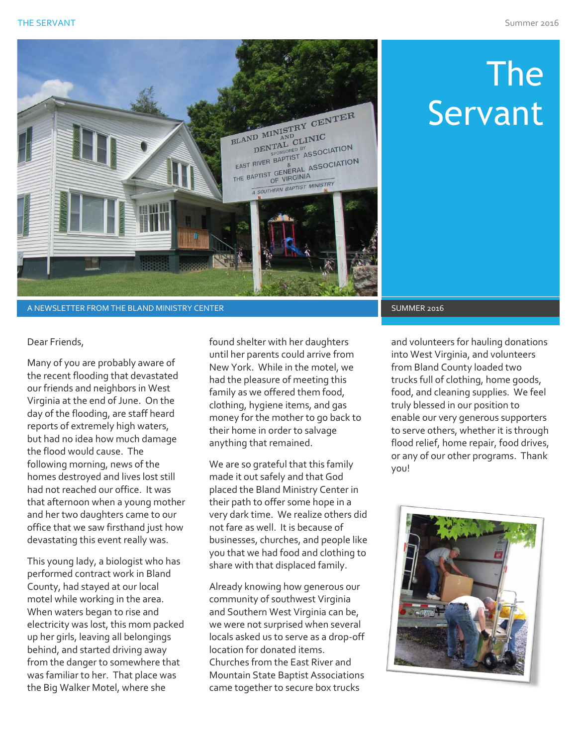

A NEWSLETTER FROM THE BLAND MINISTRY CENTER SUMMER 2016 SUMMER 2016

# The Servant

Dear Friends,

Many of you are probably aware of the recent flooding that devastated our friends and neighbors in West Virginia at the end of June. On the day of the flooding, are staff heard reports of extremely high waters, but had no idea how much damage the flood would cause. The following morning, news of the homes destroyed and lives lost still had not reached our office. It was that afternoon when a young mother and her two daughters came to our office that we saw firsthand just how devastating this event really was.

This young lady, a biologist who has performed contract work in Bland County, had stayed at our local motel while working in the area. When waters began to rise and electricity was lost, this mom packed up her girls, leaving all belongings behind, and started driving away from the danger to somewhere that was familiar to her. That place was the Big Walker Motel, where she

found shelter with her daughters until her parents could arrive from New York. While in the motel, we had the pleasure of meeting this family as we offered them food, clothing, hygiene items, and gas money for the mother to go back to their home in order to salvage anything that remained.

We are so grateful that this family made it out safely and that God placed the Bland Ministry Center in their path to offer some hope in a very dark time. We realize others did not fare as well. It is because of businesses, churches, and people like you that we had food and clothing to share with that displaced family.

Already knowing how generous our community of southwest Virginia and Southern West Virginia can be, we were not surprised when several locals asked us to serve as a drop-off location for donated items. Churches from the East River and Mountain State Baptist Associations came together to secure box trucks

and volunteers for hauling donations into West Virginia, and volunteers from Bland County loaded two trucks full of clothing, home goods, food, and cleaning supplies. We feel truly blessed in our position to enable our very generous supporters to serve others, whether it is through flood relief, home repair, food drives, or any of our other programs. Thank you!

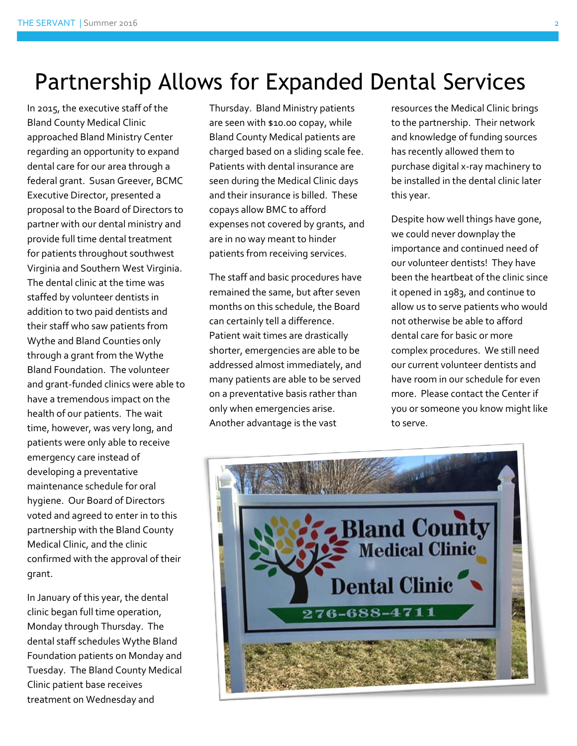#### Partnership Allows for Expanded Dental Services

In 2015, the executive staff of the Bland County Medical Clinic approached Bland Ministry Center regarding an opportunity to expand dental care for our area through a federal grant. Susan Greever, BCMC Executive Director, presented a proposal to the Board of Directors to partner with our dental ministry and provide full time dental treatment for patients throughout southwest Virginia and Southern West Virginia. The dental clinic at the time was staffed by volunteer dentists in addition to two paid dentists and their staff who saw patients from Wythe and Bland Counties only through a grant from the Wythe Bland Foundation. The volunteer and grant-funded clinics were able to have a tremendous impact on the health of our patients. The wait time, however, was very long, and patients were only able to receive emergency care instead of developing a preventative maintenance schedule for oral hygiene. Our Board of Directors voted and agreed to enter in to this partnership with the Bland County Medical Clinic, and the clinic confirmed with the approval of their grant.

In January of this year, the dental clinic began full time operation, Monday through Thursday. The dental staff schedules Wythe Bland Foundation patients on Monday and Tuesday. The Bland County Medical Clinic patient base receives treatment on Wednesday and

Thursday. Bland Ministry patients are seen with \$10.00 copay, while Bland County Medical patients are charged based on a sliding scale fee. Patients with dental insurance are seen during the Medical Clinic days and their insurance is billed. These copays allow BMC to afford expenses not covered by grants, and are in no way meant to hinder patients from receiving services.

The staff and basic procedures have remained the same, but after seven months on this schedule, the Board can certainly tell a difference. Patient wait times are drastically shorter, emergencies are able to be addressed almost immediately, and many patients are able to be served on a preventative basis rather than only when emergencies arise. Another advantage is the vast

resources the Medical Clinic brings to the partnership. Their network and knowledge of funding sources has recently allowed them to purchase digital x-ray machinery to be installed in the dental clinic later this year.

Despite how well things have gone, we could never downplay the importance and continued need of our volunteer dentists! They have been the heartbeat of the clinic since it opened in 1983, and continue to allow us to serve patients who would not otherwise be able to afford dental care for basic or more complex procedures. We still need our current volunteer dentists and have room in our schedule for even more. Please contact the Center if you or someone you know might like to serve.

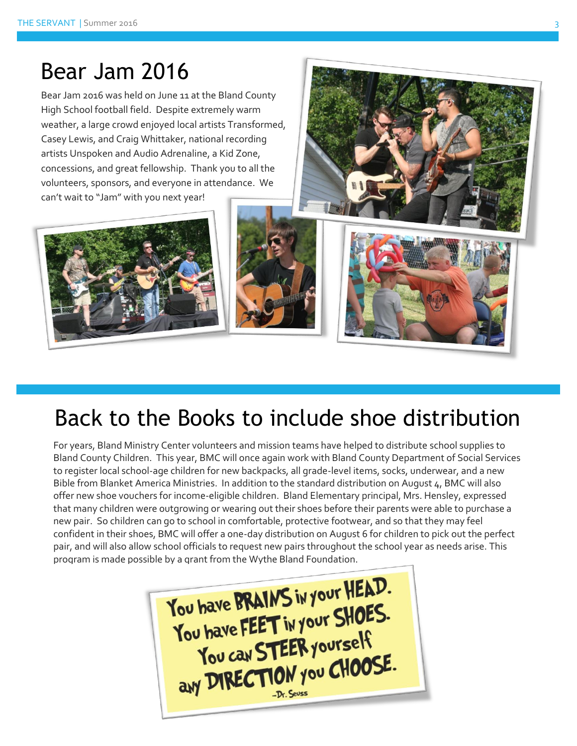## Bear Jam 2016

Bear Jam 2016 was held on June 11 at the Bland County High School football field. Despite extremely warm weather, a large crowd enjoyed local artists Transformed, Casey Lewis, and Craig Whittaker, national recording artists Unspoken and Audio Adrenaline, a Kid Zone, concessions, and great fellowship. Thank you to all the volunteers, sponsors, and everyone in attendance. We can't wait to "Jam" with you next year!







### Back to the Books to include shoe distribution

For years, Bland Ministry Center volunteers and mission teams have helped to distribute school supplies to Bland County Children. This year, BMC will once again work with Bland County Department of Social Services to register local school-age children for new backpacks, all grade-level items, socks, underwear, and a new Bible from Blanket America Ministries. In addition to the standard distribution on August 4, BMC will also offer new shoe vouchers for income-eligible children. Bland Elementary principal, Mrs. Hensley, expressed that many children were outgrowing or wearing out their shoes before their parents were able to purchase a new pair. So children can go to school in comfortable, protective footwear, and so that they may feel confident in their shoes, BMC will offer a one-day distribution on August 6 for children to pick out the perfect pair, and will also allow school officials to request new pairs throughout the school year as needs arise. This program is made possible by a grant from the Wythe Bland Foundation.